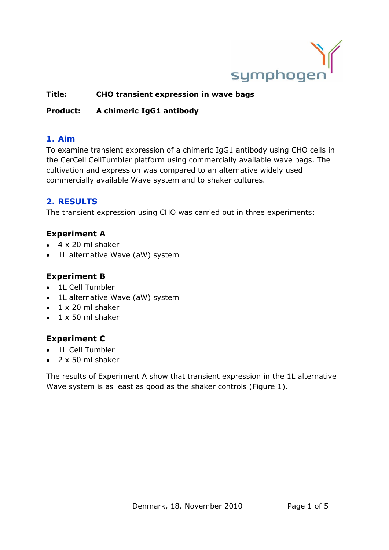

## **Title: CHO transient expression in wave bags**

## **Product: A chimeric IgG1 antibody**

## **1. Aim**

To examine transient expression of a chimeric IgG1 antibody using CHO cells in the CerCell CellTumbler platform using commercially available wave bags. The cultivation and expression was compared to an alternative widely used commercially available Wave system and to shaker cultures.

# **2. RESULTS**

The transient expression using CHO was carried out in three experiments:

# **Experiment A**

- $\bullet$  4 x 20 ml shaker
- 1L alternative Wave (aW) system  $\bullet$

# **Experiment B**

- 1L Cell Tumbler
- 1L alternative Wave (aW) system
- $\bullet$  1 x 20 ml shaker
- $\bullet$  1 x 50 ml shaker

# **Experiment C**

- 1L Cell Tumbler
- $\bullet$  2 x 50 ml shaker

The results of Experiment A show that transient expression in the 1L alternative Wave system is as least as good as the shaker controls [\(Figure 1\)](#page-1-0).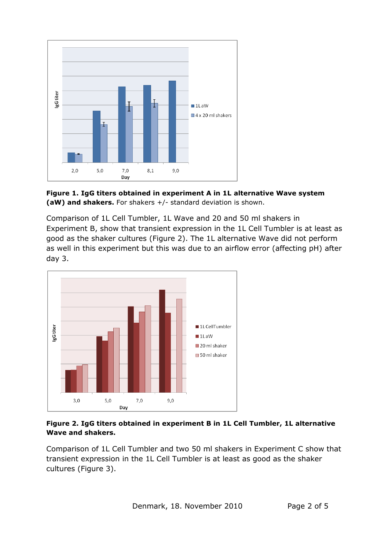

<span id="page-1-0"></span>**Figure 1. IgG titers obtained in experiment A in 1L alternative Wave system (aW) and shakers.** For shakers +/- standard deviation is shown.

Comparison of 1L Cell Tumbler, 1L Wave and 20 and 50 ml shakers in Experiment B, show that transient expression in the 1L Cell Tumbler is at least as good as the shaker cultures [\(Figure 2\)](#page-1-1). The 1L alternative Wave did not perform as well in this experiment but this was due to an airflow error (affecting pH) after day 3.



<span id="page-1-1"></span>**Figure 2. IgG titers obtained in experiment B in 1L Cell Tumbler, 1L alternative Wave and shakers.**

Comparison of 1L Cell Tumbler and two 50 ml shakers in Experiment C show that transient expression in the 1L Cell Tumbler is at least as good as the shaker cultures [\(Figure 3\)](#page-2-0).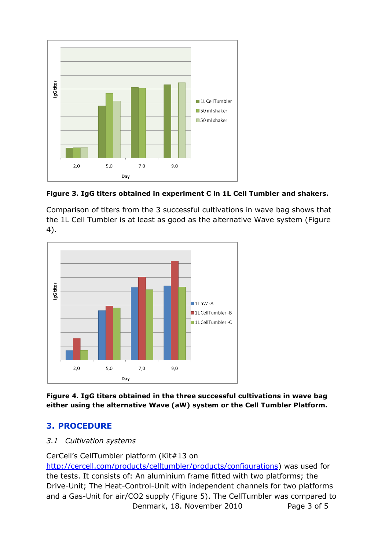

<span id="page-2-0"></span>

Comparison of titers from the 3 successful cultivations in wave bag shows that the 1L Cell Tumbler is at least as good as the alternative Wave system [\(Figure](#page-2-1)  [4\)](#page-2-1).



<span id="page-2-1"></span>**Figure 4. IgG titers obtained in the three successful cultivations in wave bag either using the alternative Wave (aW) system or the Cell Tumbler Platform.**

# **3. PROCEDURE**

### *3.1 Cultivation systems*

CerCell's CellTumbler platform (Kit#13 on

Denmark, 18. November 2010 Page 3 of 5 [http://cercell.com/products/celltumbler/products/configurations\)](http://cercell.com/products/celltumbler/products/configurations) was used for the tests. It consists of: An aluminium frame fitted with two platforms; the Drive-Unit; The Heat-Control-Unit with independent channels for two platforms and a Gas-Unit for air/CO2 supply [\(Figure 5\)](#page-3-0). The CellTumbler was compared to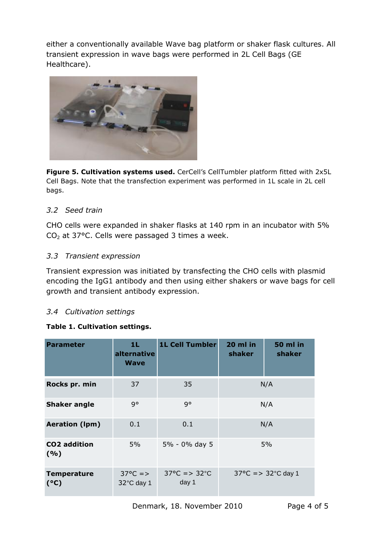either a conventionally available Wave bag platform or shaker flask cultures. All transient expression in wave bags were performed in 2L Cell Bags (GE Healthcare).



<span id="page-3-0"></span>**Figure 5. Cultivation systems used.** CerCell's CellTumbler platform fitted with 2x5L Cell Bags. Note that the transfection experiment was performed in 1L scale in 2L cell bags.

### *3.2 Seed train*

CHO cells were expanded in shaker flasks at 140 rpm in an incubator with 5%  $CO<sub>2</sub>$  at 37°C. Cells were passaged 3 times a week.

### *3.3 Transient expression*

Transient expression was initiated by transfecting the CHO cells with plasmid encoding the IgG1 antibody and then using either shakers or wave bags for cell growth and transient antibody expression.

### *3.4 Cultivation settings*

### **Table 1. Cultivation settings.**

| <b>Parameter</b>            | 1L.<br>alternative<br><b>Wave</b> | <b>1L Cell Tumbler</b>                      | 20 ml in<br>shaker                      | <b>50 ml in</b><br>shaker |
|-----------------------------|-----------------------------------|---------------------------------------------|-----------------------------------------|---------------------------|
| Rocks pr. min               | 37                                | 35                                          | N/A                                     |                           |
| <b>Shaker angle</b>         | q°                                | q°                                          | N/A                                     |                           |
| <b>Aeration (Ipm)</b>       | 0.1                               | 0.1                                         | N/A                                     |                           |
| <b>CO2</b> addition<br>( %) | $5\%$                             | 5% - 0% day 5                               | 5%                                      |                           |
| <b>Temperature</b><br>(°C)  | $37^{\circ}C = >$<br>32°C day 1   | $37^{\circ}$ C = > 32 $^{\circ}$ C<br>day 1 | $37^{\circ}$ C = > $32^{\circ}$ C day 1 |                           |